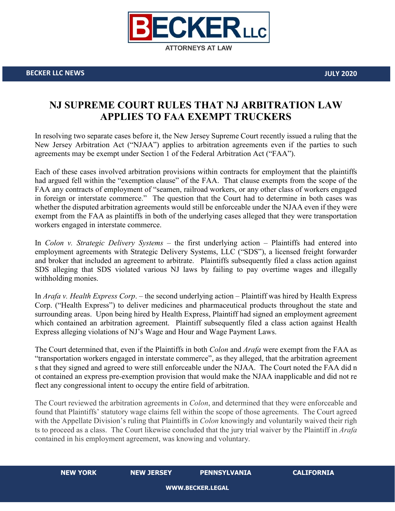

## **NJ SUPREME COURT RULES THAT NJ ARBITRATION LAW APPLIES TO FAA EXEMPT TRUCKERS**

In resolving two separate cases before it, the New Jersey Supreme Court recently issued a ruling that the New Jersey Arbitration Act ("NJAA") applies to arbitration agreements even if the parties to such agreements may be exempt under Section 1 of the Federal Arbitration Act ("FAA").

Each of these cases involved arbitration provisions within contracts for employment that the plaintiffs had argued fell within the "exemption clause" of the FAA. That clause exempts from the scope of the FAA any contracts of employment of "seamen, railroad workers, or any other class of workers engaged in foreign or interstate commerce." The question that the Court had to determine in both cases was whether the disputed arbitration agreements would still be enforceable under the NJAA even if they were exempt from the FAA as plaintiffs in both of the underlying cases alleged that they were transportation workers engaged in interstate commerce.

In *Colon v. Strategic Delivery Systems* – the first underlying action – Plaintiffs had entered into employment agreements with Strategic Delivery Systems, LLC ("SDS"), a licensed freight forwarder and broker that included an agreement to arbitrate. Plaintiffs subsequently filed a class action against SDS alleging that SDS violated various NJ laws by failing to pay overtime wages and illegally withholding monies.

In *Arafa v. Health Express Corp*. – the second underlying action – Plaintiff was hired by Health Express Corp. ("Health Express") to deliver medicines and pharmaceutical products throughout the state and surrounding areas. Upon being hired by Health Express, Plaintiff had signed an employment agreement which contained an arbitration agreement. Plaintiff subsequently filed a class action against Health Express alleging violations of NJ's Wage and Hour and Wage Payment Laws.

The Court determined that, even if the Plaintiffs in both *Colon* and *Arafa* were exempt from the FAA as "transportation workers engaged in interstate commerce", as they alleged, that the arbitration agreement s that they signed and agreed to were still enforceable under the NJAA. The Court noted the FAA did n ot contained an express pre-exemption provision that would make the NJAA inapplicable and did not re flect any congressional intent to occupy the entire field of arbitration.

The Court reviewed the arbitration agreements in *Colon*, and determined that they were enforceable and found that Plaintiffs' statutory wage claims fell within the scope of those agreements. The Court agreed with the Appellate Division's ruling that Plaintiffs in *Colon* knowingly and voluntarily waived their righ ts to proceed as a class. The Court likewise concluded that the jury trial waiver by the Plaintiff in *Arafa* contained in his employment agreement, was knowing and voluntary.